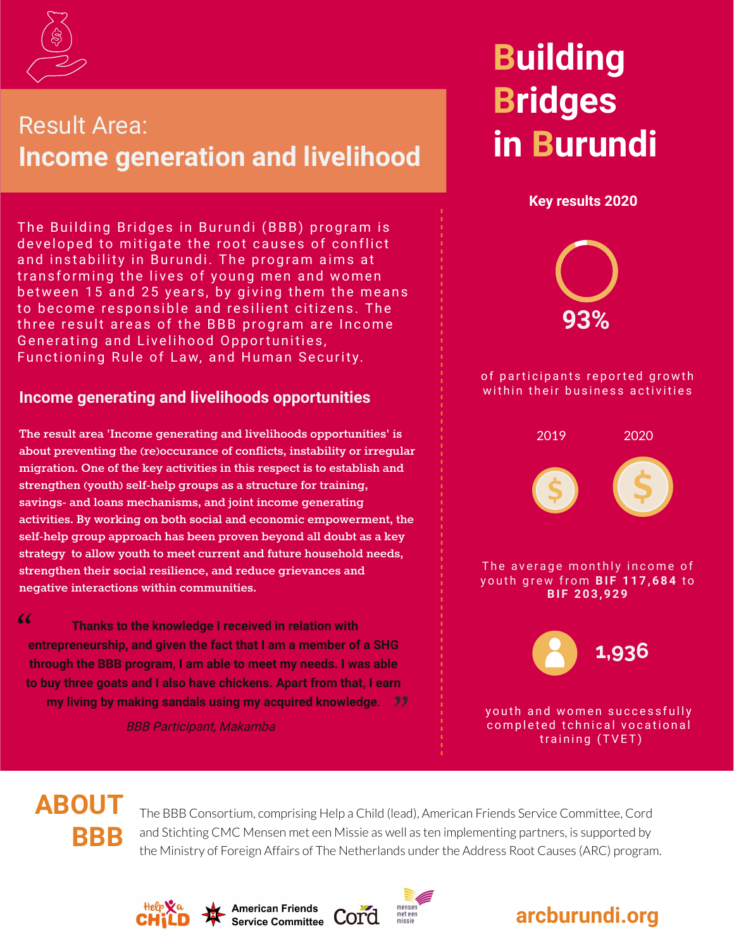

## Result Area: **Income generation and livelihood**

The Building Bridges in Burundi (BBB) program is developed to mitigate the root causes of conflict and instability in Burundi. The program aims at transforming the lives of young men and women between 15 and 25 years, by giving them the means to become responsible and resilient citizens. The three result areas of the BBB program are Income Generating and Livelihood Opportunities, Functioning Rule of Law, and Human Security.

### **Income generating and livelihoods opportunities**

**The result area 'Income generating and livelihoods opportunities' is about preventing the (re)occurance of conflicts, instability or irregular migration. One of the key activities in this respect is to establish and strengthen (youth) self-help groups as a structure for training, savings- and loans mechanisms, and joint income generating activities. By working on both social and economic empowerment, the self-help group approach has been proven beyond all doubt as a key strategy to allow youth to meet current and future household needs, strengthen their social resilience, and reduce grievances and negative interactions within communities.**

 $66$ 

"<br>"<br>"  **Thanks to the knowledge I received in relation with entrepreneurship, and given the fact that I am a member of a SHG through the BBB program, I am able to meet my needs. I was able to buy three goats and I also have chickens. Apart from that, I earn my living by making sandals using my acquired knowledge**.

BBB Participant, Makamba

## **Building Bridges in Burundi**

**Key results 2020**



#### of participants reported growth within their business activities



### **ABOUT BBB**

The BBB Consortium, comprising Help a Child (lead), American Friends Service Committee, Cord and Stichting CMC Mensen met een Missie as well as ten implementing partners, is supported by the Ministry of Foreign Affairs of The Netherlands under the Address Root Causes (ARC) program.





**American Friends**